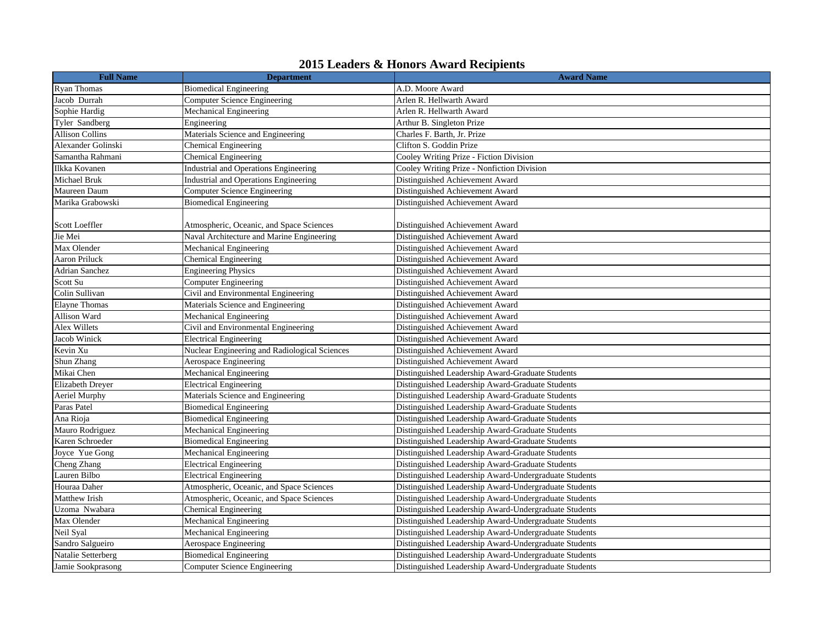| <b>Full Name</b>        | <b>Department</b>                             | $\blacksquare$ . Example of Honors II was a receptently<br><b>Award Name</b> |
|-------------------------|-----------------------------------------------|------------------------------------------------------------------------------|
| <b>Ryan Thomas</b>      | <b>Biomedical Engineering</b>                 | A.D. Moore Award                                                             |
| Jacob Durrah            | Computer Science Engineering                  | Arlen R. Hellwarth Award                                                     |
| Sophie Hardig           | Mechanical Engineering                        | Arlen R. Hellwarth Award                                                     |
| Tyler Sandberg          | Engineering                                   | Arthur B. Singleton Prize                                                    |
| <b>Allison Collins</b>  | Materials Science and Engineering             | Charles F. Barth, Jr. Prize                                                  |
| Alexander Golinski      | Chemical Engineering                          | Clifton S. Goddin Prize                                                      |
| Samantha Rahmani        | Chemical Engineering                          | Cooley Writing Prize - Fiction Division                                      |
| Ilkka Kovanen           | Industrial and Operations Engineering         | Cooley Writing Prize - Nonfiction Division                                   |
| <b>Michael Bruk</b>     | Industrial and Operations Engineering         | Distinguished Achievement Award                                              |
| Maureen Daum            | <b>Computer Science Engineering</b>           | Distinguished Achievement Award                                              |
| Marika Grabowski        | <b>Biomedical Engineering</b>                 | Distinguished Achievement Award                                              |
|                         |                                               |                                                                              |
| Scott Loeffler          | Atmospheric, Oceanic, and Space Sciences      | Distinguished Achievement Award                                              |
| Jie Mei                 | Naval Architecture and Marine Engineering     | Distinguished Achievement Award                                              |
| Max Olender             | Mechanical Engineering                        | Distinguished Achievement Award                                              |
| <b>Aaron Priluck</b>    | Chemical Engineering                          | Distinguished Achievement Award                                              |
| <b>Adrian Sanchez</b>   | <b>Engineering Physics</b>                    | Distinguished Achievement Award                                              |
| Scott Su                | <b>Computer Engineering</b>                   | Distinguished Achievement Award                                              |
| Colin Sullivan          | Civil and Environmental Engineering           | Distinguished Achievement Award                                              |
| <b>Elayne Thomas</b>    | Materials Science and Engineering             | Distinguished Achievement Award                                              |
| Allison Ward            | Mechanical Engineering                        | Distinguished Achievement Award                                              |
| Alex Willets            | Civil and Environmental Engineering           | Distinguished Achievement Award                                              |
| Jacob Winick            | <b>Electrical Engineering</b>                 | Distinguished Achievement Award                                              |
| Kevin Xu                | Nuclear Engineering and Radiological Sciences | Distinguished Achievement Award                                              |
| Shun Zhang              | Aerospace Engineering                         | Distinguished Achievement Award                                              |
| Mikai Chen              | Mechanical Engineering                        | Distinguished Leadership Award-Graduate Students                             |
| <b>Elizabeth Dreyer</b> | <b>Electrical Engineering</b>                 | Distinguished Leadership Award-Graduate Students                             |
| Aeriel Murphy           | Materials Science and Engineering             | Distinguished Leadership Award-Graduate Students                             |
| Paras Patel             | <b>Biomedical Engineering</b>                 | Distinguished Leadership Award-Graduate Students                             |
| Ana Rioja               | <b>Biomedical Engineering</b>                 | Distinguished Leadership Award-Graduate Students                             |
| Mauro Rodriguez         | Mechanical Engineering                        | Distinguished Leadership Award-Graduate Students                             |
| Karen Schroeder         | <b>Biomedical Engineering</b>                 | Distinguished Leadership Award-Graduate Students                             |
| Joyce Yue Gong          | Mechanical Engineering                        | Distinguished Leadership Award-Graduate Students                             |
| Cheng Zhang             | <b>Electrical Engineering</b>                 | Distinguished Leadership Award-Graduate Students                             |
| Lauren Bilbo            | <b>Electrical Engineering</b>                 | Distinguished Leadership Award-Undergraduate Students                        |
| Houraa Daher            | Atmospheric, Oceanic, and Space Sciences      | Distinguished Leadership Award-Undergraduate Students                        |
| Matthew Irish           | Atmospheric, Oceanic, and Space Sciences      | Distinguished Leadership Award-Undergraduate Students                        |
| Uzoma Nwabara           | Chemical Engineering                          | Distinguished Leadership Award-Undergraduate Students                        |
| Max Olender             | Mechanical Engineering                        | Distinguished Leadership Award-Undergraduate Students                        |
| Neil Syal               | Mechanical Engineering                        | Distinguished Leadership Award-Undergraduate Students                        |
| Sandro Salgueiro        | Aerospace Engineering                         | Distinguished Leadership Award-Undergraduate Students                        |
| Natalie Setterberg      | <b>Biomedical Engineering</b>                 | Distinguished Leadership Award-Undergraduate Students                        |
| Jamie Sookprasong       | Computer Science Engineering                  | Distinguished Leadership Award-Undergraduate Students                        |

## **2015 Leaders & Honors Award Recipients**